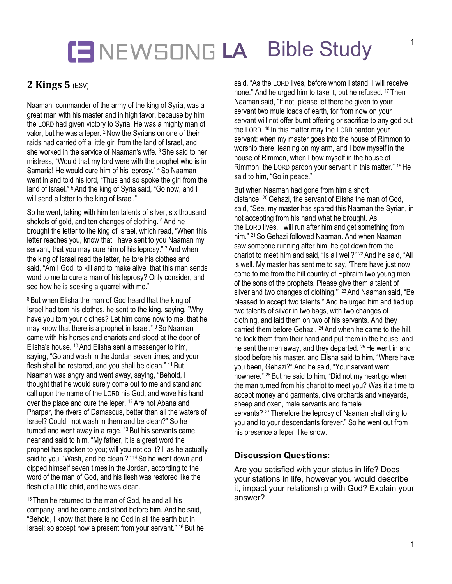## **LA** Bible Study

## **2 Kings 5** (ESV)

Naaman, commander of the army of the king of Syria, was a great man with his master and in high favor, because by him the LORD had given victory to Syria. He was a mighty man of valor, but he was a leper. <sup>2</sup> Now the Syrians on one of their raids had carried off a little girl from the land of Israel, and she worked in the service of Naaman's wife. <sup>3</sup> She said to her mistress, "Would that my lord were with the prophet who is in Samaria! He would cure him of his leprosy." <sup>4</sup> So Naaman went in and told his lord, "Thus and so spoke the girl from the land of Israel." <sup>5</sup> And the king of Syria said, "Go now, and I will send a letter to the king of Israel."

So he went, taking with him ten talents of silver, six thousand shekels of gold, and ten changes of clothing. <sup>6</sup> And he brought the letter to the king of Israel, which read, "When this letter reaches you, know that I have sent to you Naaman my servant, that you may cure him of his leprosy." 7 And when the king of Israel read the letter, he tore his clothes and said, "Am I God, to kill and to make alive, that this man sends word to me to cure a man of his leprosy? Only consider, and see how he is seeking a quarrel with me."

<sup>8</sup> But when Elisha the man of God heard that the king of Israel had torn his clothes, he sent to the king, saying, "Why have you torn your clothes? Let him come now to me, that he may know that there is a prophet in Israel." <sup>9</sup> So Naaman came with his horses and chariots and stood at the door of Elisha's house. <sup>10</sup> And Elisha sent a messenger to him, saying, "Go and wash in the Jordan seven times, and your flesh shall be restored, and you shall be clean." 11 But Naaman was angry and went away, saying, "Behold, I thought that he would surely come out to me and stand and call upon the name of the LORD his God, and wave his hand over the place and cure the leper. <sup>12</sup> Are not Abana and Pharpar, the rivers of Damascus, better than all the waters of Israel? Could I not wash in them and be clean?" So he turned and went away in a rage.  $13$  But his servants came near and said to him, "My father, it is a great word the prophet has spoken to you; will you not do it? Has he actually said to you, 'Wash, and be clean'?" <sup>14</sup> So he went down and dipped himself seven times in the Jordan, according to the word of the man of God, and his flesh was restored like the flesh of a little child, and he was clean.

<sup>15</sup> Then he returned to the man of God, he and all his company, and he came and stood before him. And he said, "Behold, I know that there is no God in all the earth but in Israel; so accept now a present from your servant." <sup>16</sup> But he said, "As the LORD lives, before whom I stand, I will receive none." And he urged him to take it, but he refused. <sup>17</sup> Then Naaman said, "If not, please let there be given to your servant two mule loads of earth, for from now on your servant will not offer burnt offering or sacrifice to any god but the LORD. <sup>18</sup> In this matter may the LORD pardon your servant: when my master goes into the house of Rimmon to worship there, leaning on my arm, and I bow myself in the house of Rimmon, when I bow myself in the house of Rimmon, the LORD pardon your servant in this matter." 19He said to him, "Go in peace."

But when Naaman had gone from him a short distance, <sup>20</sup> Gehazi, the servant of Elisha the man of God, said, "See, my master has spared this Naaman the Syrian, in not accepting from his hand what he brought. As the LORD lives, I will run after him and get something from him." <sup>21</sup> So Gehazi followed Naaman. And when Naaman saw someone running after him, he got down from the chariot to meet him and said, "Is all well?" <sup>22</sup> And he said, "All is well. My master has sent me to say, 'There have just now come to me from the hill country of Ephraim two young men of the sons of the prophets. Please give them a talent of silver and two changes of clothing." <sup>23</sup> And Naaman said, "Be pleased to accept two talents." And he urged him and tied up two talents of silver in two bags, with two changes of clothing, and laid them on two of his servants. And they carried them before Gehazi. <sup>24</sup> And when he came to the hill, he took them from their hand and put them in the house, and he sent the men away, and they departed. <sup>25</sup> He went in and stood before his master, and Elisha said to him, "Where have you been, Gehazi?" And he said, "Your servant went nowhere." <sup>26</sup> But he said to him, "Did not my heart go when the man turned from his chariot to meet you? Was it a time to accept money and garments, olive orchards and vineyards, sheep and oxen, male servants and female servants? <sup>27</sup> Therefore the leprosy of Naaman shall cling to you and to your descendants forever." So he went out from his presence a leper, like snow.

#### **Discussion Questions:**

Are you satisfied with your status in life? Does your stations in life, however you would describe it, impact your relationship with God? Explain your answer?